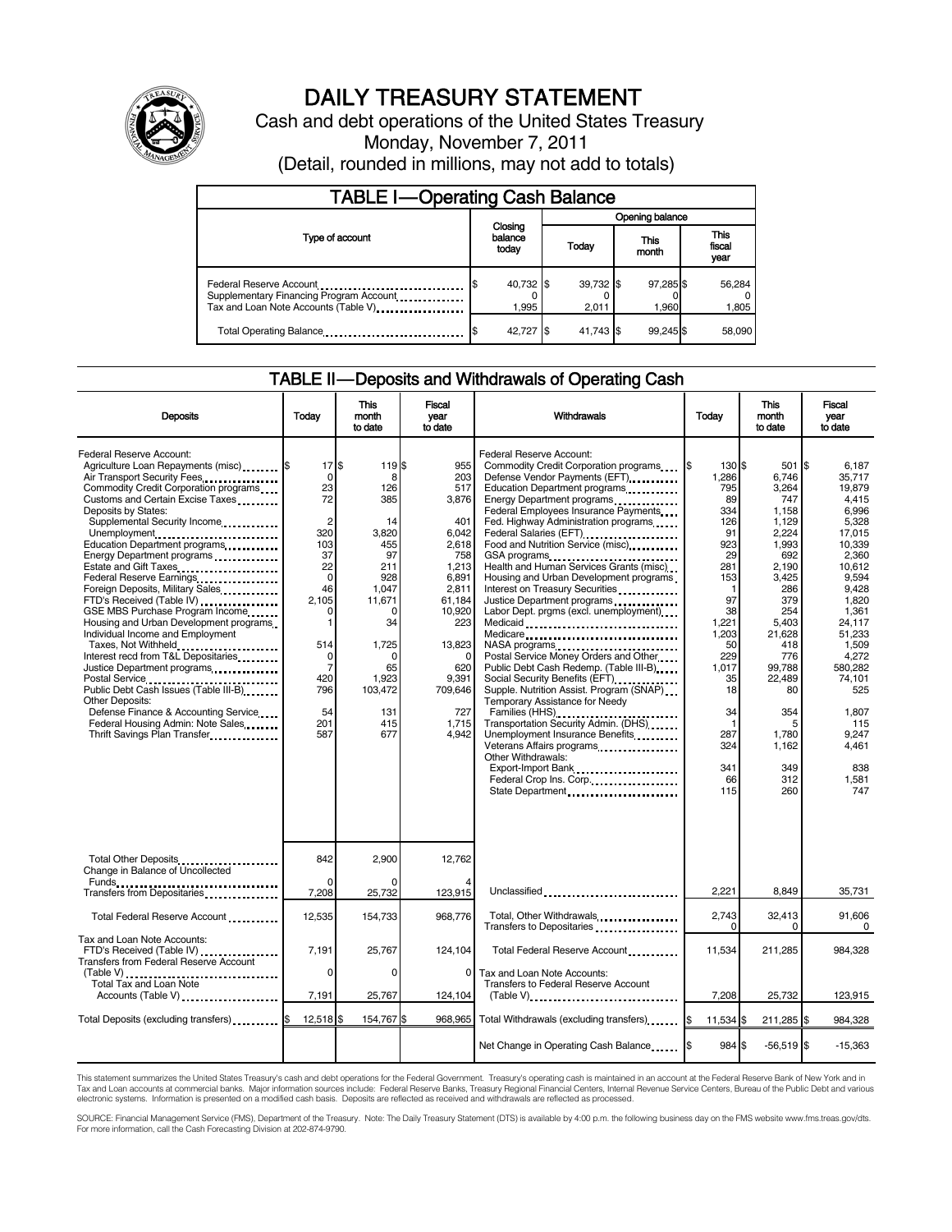

# DAILY TREASURY STATEMENT

Cash and debt operations of the United States Treasury Monday, November 7, 2011 (Detail, rounded in millions, may not add to totals)

| <b>TABLE I-Operating Cash Balance</b>                                                                       |                             |                    |                    |                               |  |  |
|-------------------------------------------------------------------------------------------------------------|-----------------------------|--------------------|--------------------|-------------------------------|--|--|
|                                                                                                             |                             | Opening balance    |                    |                               |  |  |
| Type of account                                                                                             | Closing<br>balance<br>today | Today              | This<br>month      | <b>This</b><br>fiscal<br>year |  |  |
| Federal Reserve Account<br>Supplementary Financing Program Account<br>Tax and Loan Note Accounts (Table V). | 40,732 \$<br>1.995          | 39,732 \$<br>2.011 | 97,285 \$<br>1.960 | 56,284<br>1,805               |  |  |
| Total Operating Balance                                                                                     | 42,727 \$                   | 41.743 \$          | 99.245 \$          | 58,090                        |  |  |

# TABLE II — Deposits and Withdrawals of Operating Cash

| <b>Deposits</b>                                                                                                                                                                                                                                                                                                                                                                                                                                                                                                                                                                                                                                                                                                                                                                                                                                                     | Todav                                                                                                                                                                  | <b>This</b><br>month<br>to date                                                                                                                                       | <b>Fiscal</b><br>year<br>to date                                                                                                                                               | Withdrawals                                                                                                                                                                                                                                                                                                                                                                                                                                                                                                                                                                                                                                                                                                                                                                                                                                                                                                                                                                                  | Today                                                                                                                                                                                         | <b>This</b><br>month<br>to date                                                                                                                                                                                                 | Fiscal<br>vear<br>to date                                                                                                                                                                                                                                  |
|---------------------------------------------------------------------------------------------------------------------------------------------------------------------------------------------------------------------------------------------------------------------------------------------------------------------------------------------------------------------------------------------------------------------------------------------------------------------------------------------------------------------------------------------------------------------------------------------------------------------------------------------------------------------------------------------------------------------------------------------------------------------------------------------------------------------------------------------------------------------|------------------------------------------------------------------------------------------------------------------------------------------------------------------------|-----------------------------------------------------------------------------------------------------------------------------------------------------------------------|--------------------------------------------------------------------------------------------------------------------------------------------------------------------------------|----------------------------------------------------------------------------------------------------------------------------------------------------------------------------------------------------------------------------------------------------------------------------------------------------------------------------------------------------------------------------------------------------------------------------------------------------------------------------------------------------------------------------------------------------------------------------------------------------------------------------------------------------------------------------------------------------------------------------------------------------------------------------------------------------------------------------------------------------------------------------------------------------------------------------------------------------------------------------------------------|-----------------------------------------------------------------------------------------------------------------------------------------------------------------------------------------------|---------------------------------------------------------------------------------------------------------------------------------------------------------------------------------------------------------------------------------|------------------------------------------------------------------------------------------------------------------------------------------------------------------------------------------------------------------------------------------------------------|
| Federal Reserve Account:<br>Agriculture Loan Repayments (misc) \$<br>Air Transport Security Fees<br>Commodity Credit Corporation programs<br>Customs and Certain Excise Taxes<br>Deposits by States:<br>Supplemental Security Income<br>Unemployment<br>Education Department programs<br>Energy Department programs<br>Federal Reserve Earnings<br>Foreign Deposits, Military Sales<br>FTD's Received (Table IV)<br>GSE MBS Purchase Program Income<br>Housing and Urban Development programs<br>Individual Income and Employment<br>Taxes, Not Withheld<br>Interest recd from T&L Depositaries<br>Justice Department programs<br>Postal Service<br>Public Debt Cash Issues (Table III-B)<br>The Line of Cash Issues (Table III-B)<br>Other Deposits:<br>Defense Finance & Accounting Service<br>Federal Housing Admin: Note Sales<br>Thrift Savings Plan Transfer. | 17S<br>0<br>23<br>72<br>$\overline{2}$<br>320<br>103<br>37<br>22<br>$\mathbf 0$<br>46<br>2,105<br>0<br>$\mathbf{1}$<br>514<br>0<br>7<br>420<br>796<br>54<br>201<br>587 | 119 \$<br>8<br>126<br>385<br>14<br>3,820<br>455<br>97<br>211<br>928<br>1.047<br>11,671<br>0<br>34<br>1,725<br>$\Omega$<br>65<br>1.923<br>103,472<br>131<br>415<br>677 | 955<br>203<br>517<br>3,876<br>401<br>6,042<br>2,618<br>758<br>1.213<br>6,891<br>2,811<br>61,184<br>10,920<br>223<br>13,823<br>620<br>9.391<br>709,646<br>727<br>1,715<br>4.942 | Federal Reserve Account:<br>Commodity Credit Corporation programs \$<br>Defense Vendor Payments (EFT)<br>Education Department programs<br>Energy Department programs<br>Federal Employees Insurance Payments<br>Fed. Highway Administration programs<br>Federal Salaries (EFT)<br>Food and Nutrition Service (misc)<br>GSA programs<br><br>Health and Human Services Grants (misc)<br>Housing and Urban Development programs<br>Interest on Treasury Securities<br>Justice Department programs<br>Labor Dept. prgms (excl. unemployment)<br>Medicaid<br>Medicare<br>Postal Service Money Orders and Other<br>Public Debt Cash Redemp. (Table III-B)<br>Social Security Benefits (EFT)<br>Supple. Nutrition Assist. Program (SNAP)<br>Temporary Assistance for Needy<br>Families (HHS)<br>Transportation Security Admin. (DHS)<br>Unemployment Insurance Benefits<br>Veterans Affairs programs<br><br>Other Withdrawals:<br>Export-Import Bank<br>Federal Crop Ins. Corp.<br>State Department | 130 \$<br>1.286<br>795<br>89<br>334<br>126<br>91<br>923<br>29<br>281<br>153<br>1<br>97<br>38<br>1,221<br>1,203<br>50<br>229<br>1.017<br>35<br>18<br>34<br>1<br>287<br>324<br>341<br>66<br>115 | 501 \$<br>6,746<br>3,264<br>747<br>1,158<br>1,129<br>2,224<br>1,993<br>692<br>2.190<br>3,425<br>286<br>379<br>254<br>5,403<br>21,628<br>418<br>776<br>99.788<br>22.489<br>80<br>354<br>5<br>1.780<br>1.162<br>349<br>312<br>260 | 6.187<br>35.717<br>19.879<br>4.415<br>6.996<br>5,328<br>17,015<br>10.339<br>2,360<br>10.612<br>9.594<br>9.428<br>1,820<br>1,361<br>24,117<br>51,233<br>1,509<br>4,272<br>580.282<br>74.101<br>525<br>1.807<br>115<br>9.247<br>4.461<br>838<br>1.581<br>747 |
| Total Other Deposits<br>Change in Balance of Uncollected                                                                                                                                                                                                                                                                                                                                                                                                                                                                                                                                                                                                                                                                                                                                                                                                            | 842                                                                                                                                                                    | 2,900                                                                                                                                                                 | 12,762                                                                                                                                                                         |                                                                                                                                                                                                                                                                                                                                                                                                                                                                                                                                                                                                                                                                                                                                                                                                                                                                                                                                                                                              |                                                                                                                                                                                               |                                                                                                                                                                                                                                 |                                                                                                                                                                                                                                                            |
| Transfers from Depositaries <b>Constants</b> Transfers from Depositaries                                                                                                                                                                                                                                                                                                                                                                                                                                                                                                                                                                                                                                                                                                                                                                                            | $\Omega$<br>7,208                                                                                                                                                      | 25,732                                                                                                                                                                | 123,915                                                                                                                                                                        | Unclassified                                                                                                                                                                                                                                                                                                                                                                                                                                                                                                                                                                                                                                                                                                                                                                                                                                                                                                                                                                                 | 2,221                                                                                                                                                                                         | 8,849                                                                                                                                                                                                                           | 35,731                                                                                                                                                                                                                                                     |
| Total Federal Reserve Account                                                                                                                                                                                                                                                                                                                                                                                                                                                                                                                                                                                                                                                                                                                                                                                                                                       | 12,535                                                                                                                                                                 | 154,733                                                                                                                                                               | 968.776                                                                                                                                                                        |                                                                                                                                                                                                                                                                                                                                                                                                                                                                                                                                                                                                                                                                                                                                                                                                                                                                                                                                                                                              | 2,743<br>$\Omega$                                                                                                                                                                             | 32,413<br>$\Omega$                                                                                                                                                                                                              | 91,606<br>0                                                                                                                                                                                                                                                |
| Tax and Loan Note Accounts:<br>FTD's Received (Table IV)<br>Transfers from Federal Reserve Account                                                                                                                                                                                                                                                                                                                                                                                                                                                                                                                                                                                                                                                                                                                                                                  | 7,191<br>$\Omega$                                                                                                                                                      | 25,767<br>$\Omega$                                                                                                                                                    | 124.104<br>$\Omega$                                                                                                                                                            | Total Federal Reserve Account<br>Tax and Loan Note Accounts:                                                                                                                                                                                                                                                                                                                                                                                                                                                                                                                                                                                                                                                                                                                                                                                                                                                                                                                                 | 11,534                                                                                                                                                                                        | 211,285                                                                                                                                                                                                                         | 984,328                                                                                                                                                                                                                                                    |
| Total Tax and Loan Note<br>Accounts (Table V)                                                                                                                                                                                                                                                                                                                                                                                                                                                                                                                                                                                                                                                                                                                                                                                                                       | 7,191                                                                                                                                                                  | 25,767                                                                                                                                                                | 124,104                                                                                                                                                                        | <b>Transfers to Federal Reserve Account</b><br>$(Table V)$ ,                                                                                                                                                                                                                                                                                                                                                                                                                                                                                                                                                                                                                                                                                                                                                                                                                                                                                                                                 | 7,208                                                                                                                                                                                         | 25,732                                                                                                                                                                                                                          | 123,915                                                                                                                                                                                                                                                    |
| Total Deposits (excluding transfers) <b>S</b>                                                                                                                                                                                                                                                                                                                                                                                                                                                                                                                                                                                                                                                                                                                                                                                                                       | $12,518$ \$                                                                                                                                                            | 154,767 \$                                                                                                                                                            | 968,965                                                                                                                                                                        | Total Withdrawals (excluding transfers) [\$                                                                                                                                                                                                                                                                                                                                                                                                                                                                                                                                                                                                                                                                                                                                                                                                                                                                                                                                                  | 11,534 \$                                                                                                                                                                                     | 211,285 \$                                                                                                                                                                                                                      | 984,328                                                                                                                                                                                                                                                    |
|                                                                                                                                                                                                                                                                                                                                                                                                                                                                                                                                                                                                                                                                                                                                                                                                                                                                     |                                                                                                                                                                        |                                                                                                                                                                       |                                                                                                                                                                                | Net Change in Operating Cash Balance \,\                                                                                                                                                                                                                                                                                                                                                                                                                                                                                                                                                                                                                                                                                                                                                                                                                                                                                                                                                     | 984 \$                                                                                                                                                                                        | $-56,519$ \$                                                                                                                                                                                                                    | $-15,363$                                                                                                                                                                                                                                                  |

This statement summarizes the United States Treasury's cash and debt operations for the Federal Government. Treasury's operating cash is maintained in an account at the Federal Reserve Bank of New York and in<br>Tax and Loan

SOURCE: Financial Management Service (FMS), Department of the Treasury. Note: The Daily Treasury Statement (DTS) is available by 4:00 p.m. the following business day on the FMS website www.fms.treas.gov/dts.<br>For more infor